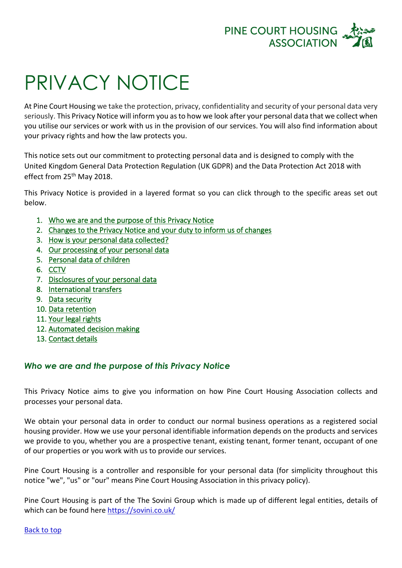

# PRIVACY NOTICE

At Pine Court Housing we take the protection, privacy, confidentiality and security of your personal data very seriously. This Privacy Notice will inform you as to how we look after your personal data that we collect when you utilise our services or work with us in the provision of our services. You will also find information about your privacy rights and how the law protects you.

This notice sets out our commitment to protecting personal data and is designed to comply with the United Kingdom General Data Protection Regulation (UK GDPR) and the Data Protection Act 2018 with effect from 25<sup>th</sup> May 2018.

<span id="page-0-1"></span>This Privacy Notice is provided in a layered format so you can click through to the specific areas set out below.

- 1. [Who we are and the purpose of this Privacy Notice](#page-0-0)
- 2. [Changes to the Privacy Notice and your duty to inform us of changes](#page-1-0)
- 3. [How is your personal data collected?](#page-1-1)
- 4. [Our processing of your personal data](#page-1-2)
- 5. [Personal data of children](#page-2-0)
- 6. [CCTV](#page-2-1)
- 7. [Disclosures of your personal data](#page-3-0)
- 8. [International transfers](#page-3-1)
- 9. [Data security](#page-3-2)
- 10. [Data retention](#page-4-0)
- 11. [Your legal rights](#page-6-0)
- 12. [Automated decision making](#page-7-0)
- 13. [Contact details](#page-7-1)

## <span id="page-0-0"></span>*Who we are and the purpose of this Privacy Notice*

This Privacy Notice aims to give you information on how Pine Court Housing Association collects and processes your personal data.

We obtain your personal data in order to conduct our normal business operations as a registered social housing provider. How we use your personal identifiable information depends on the products and services we provide to you, whether you are a prospective tenant, existing tenant, former tenant, occupant of one of our properties or you work with us to provide our services.

Pine Court Housing is a controller and responsible for your personal data (for simplicity throughout this notice "we", "us" or "our" means Pine Court Housing Association in this privacy policy).

Pine Court Housing is part of the The Sovini Group which is made up of different legal entities, details of which can be found here<https://sovini.co.uk/>

[Back to top](#page-0-1)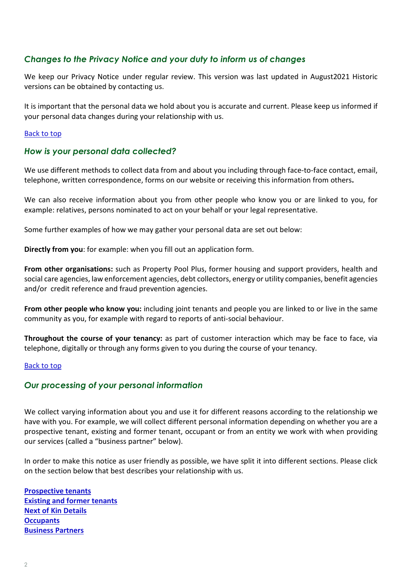# <span id="page-1-0"></span>*Changes to the Privacy Notice and your duty to inform us of changes*

We keep our Privacy Notice under regular review. This version was last updated in August2021 Historic versions can be obtained by contacting us.

It is important that the personal data we hold about you is accurate and current. Please keep us informed if your personal data changes during your relationship with us.

#### [Back to top](#page-0-1)

## <span id="page-1-1"></span>*How is your personal data collected?*

We use different methods to collect data from and about you including through face-to-face contact, email, telephone, written correspondence, forms on our website or receiving this information from others**.**

We can also receive information about you from other people who know you or are linked to you, for example: relatives, persons nominated to act on your behalf or your legal representative.

Some further examples of how we may gather your personal data are set out below:

**Directly from you**: for example: when you fill out an application form.

**From other organisations:** such as Property Pool Plus, former housing and support providers, health and social care agencies, law enforcement agencies, debt collectors, energy or utility companies, benefit agencies and/or credit reference and fraud prevention agencies.

**From other people who know you:** including joint tenants and people you are linked to or live in the same community as you, for example with regard to reports of anti-social behaviour.

**Throughout the course of your tenancy:** as part of customer interaction which may be face to face, via telephone, digitally or through any forms given to you during the course of your tenancy.

#### <span id="page-1-2"></span>[Back to top](#page-0-1)

## *Our processing of your personal information*

We collect varying information about you and use it for different reasons according to the relationship we have with you. For example, we will collect different personal information depending on whether you are a prospective tenant, existing and former tenant, occupant or from an entity we work with when providing our services (called a "business partner" below).

In order to make this notice as user friendly as possible, we have split it into different sections. Please click on the section below that best describes your relationship with us.

**Prospective tenants Existing and former tenants Next of Kin Details Occupants Business Partners**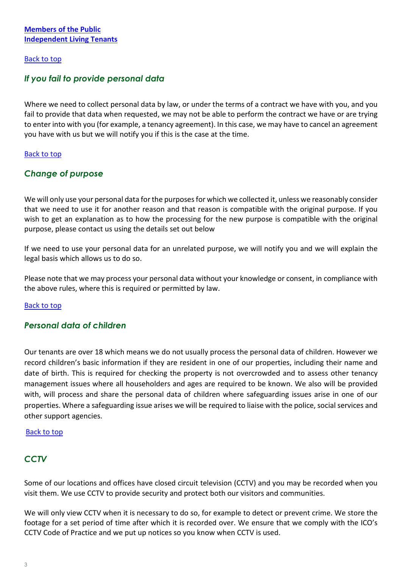#### [Back to top](#page-0-1)

# *If you fail to provide personal data*

Where we need to collect personal data by law, or under the terms of a contract we have with you, and you fail to provide that data when requested, we may not be able to perform the contract we have or are trying to enter into with you (for example, a tenancy agreement). In this case, we may have to cancel an agreement you have with us but we will notify you if this is the case at the time.

#### [Back to top](#page-0-1)

## *Change of purpose*

We will only use your personal data for the purposes for which we collected it, unless we reasonably consider that we need to use it for another reason and that reason is compatible with the original purpose. If you wish to get an explanation as to how the processing for the new purpose is compatible with the original purpose, please contact us using the details set out below

If we need to use your personal data for an unrelated purpose, we will notify you and we will explain the legal basis which allows us to do so.

Please note that we may process your personal data without your knowledge or consent, in compliance with the above rules, where this is required or permitted by law.

#### <span id="page-2-0"></span>[Back to top](#page-0-1)

## *Personal data of children*

Our tenants are over 18 which means we do not usually process the personal data of children. However we record children's basic information if they are resident in one of our properties, including their name and date of birth. This is required for checking the property is not overcrowded and to assess other tenancy management issues where all householders and ages are required to be known. We also will be provided with, will process and share the personal data of children where safeguarding issues arise in one of our properties. Where a safeguarding issue arises we will be required to liaise with the police, social services and other support agencies.

#### [Back to top](#page-0-1)

## <span id="page-2-1"></span>*CCTV*

Some of our locations and offices have closed circuit television (CCTV) and you may be recorded when you visit them. We use CCTV to provide security and protect both our visitors and communities.

We will only view CCTV when it is necessary to do so, for example to detect or prevent crime. We store the footage for a set period of time after which it is recorded over. We ensure that we comply with the ICO's CCTV Code of Practice and we put up notices so you know when CCTV is used.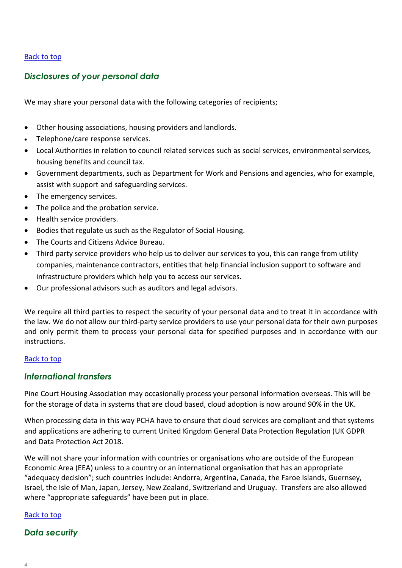#### <span id="page-3-0"></span>[Back to top](#page-0-1)

## *Disclosures of your personal data*

We may share your personal data with the following categories of recipients;

- Other housing associations, housing providers and landlords.
- Telephone/care response services.
- Local Authorities in relation to council related services such as social services, environmental services, housing benefits and council tax.
- Government departments, such as Department for Work and Pensions and agencies, who for example, assist with support and safeguarding services.
- The emergency services.
- The police and the probation service.
- Health service providers.
- Bodies that regulate us such as the Regulator of Social Housing.
- The Courts and Citizens Advice Bureau.
- Third party service providers who help us to deliver our services to you, this can range from utility companies, maintenance contractors, entities that help financial inclusion support to software and infrastructure providers which help you to access our services.
- Our professional advisors such as auditors and legal advisors.

We require all third parties to respect the security of your personal data and to treat it in accordance with the law. We do not allow our third-party service providers to use your personal data for their own purposes and only permit them to process your personal data for specified purposes and in accordance with our instructions.

#### [Back to top](#page-0-1)

## <span id="page-3-1"></span>*International transfers*

Pine Court Housing Association may occasionally process your personal information overseas. This will be for the storage of data in systems that are cloud based, cloud adoption is now around 90% in the UK.

When processing data in this way PCHA have to ensure that cloud services are compliant and that systems and applications are adhering to current United Kingdom General Data Protection Regulation (UK GDPR and Data Protection Act 2018.

We will not share your information with countries or organisations who are outside of the European Economic Area (EEA) unless to a country or an international organisation that has an appropriate "adequacy decision"; such countries include: Andorra, Argentina, Canada, the Faroe Islands, Guernsey, Israel, the Isle of Man, Japan, Jersey, New Zealand, Switzerland and Uruguay. Transfers are also allowed where "appropriate safeguards" have been put in place.

#### [Back to top](#page-0-1)

## <span id="page-3-2"></span>*Data security*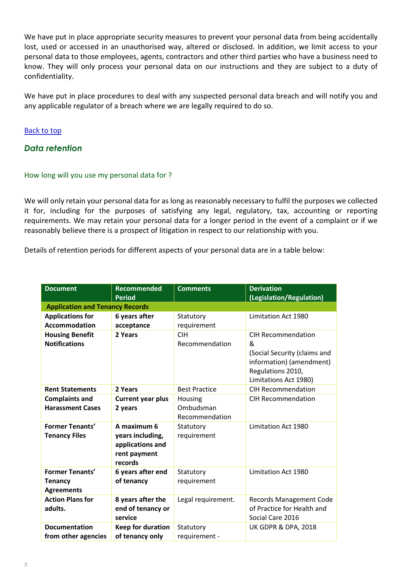We have put in place appropriate security measures to prevent your personal data from being accidentally lost, used or accessed in an unauthorised way, altered or disclosed. In addition, we limit access to your personal data to those employees, agents, contractors and other third parties who have a business need to know. They will only process your personal data on our instructions and they are subject to a duty of confidentiality.

We have put in place procedures to deal with any suspected personal data breach and will notify you and any applicable regulator of a breach where we are legally required to do so.

#### [Back to top](#page-0-1)

## <span id="page-4-0"></span>*Data retention*

#### How long will you use my personal data for ?

We will only retain your personal data for as long as reasonably necessary to fulfil the purposes we collected it for, including for the purposes of satisfying any legal, regulatory, tax, accounting or reporting requirements. We may retain your personal data for a longer period in the event of a complaint or if we reasonably believe there is a prospect of litigation in respect to our relationship with you.

Details of retention periods for different aspects of your personal data are in a table below:

| <b>Document</b>                        | <b>Recommended</b>           | <b>Comments</b>      | <b>Derivation</b>                                     |  |
|----------------------------------------|------------------------------|----------------------|-------------------------------------------------------|--|
|                                        | <b>Period</b>                |                      | (Legislation/Regulation)                              |  |
| <b>Application and Tenancy Records</b> |                              |                      |                                                       |  |
| <b>Applications for</b>                | 6 years after                | Statutory            | Limitation Act 1980                                   |  |
| <b>Accommodation</b>                   | acceptance                   | requirement          |                                                       |  |
| <b>Housing Benefit</b>                 | 2 Years                      | <b>CIH</b>           | <b>CIH Recommendation</b>                             |  |
| <b>Notifications</b>                   |                              | Recommendation       | &                                                     |  |
|                                        |                              |                      | (Social Security (claims and                          |  |
|                                        |                              |                      | information) (amendment)                              |  |
|                                        |                              |                      | Regulations 2010,                                     |  |
|                                        |                              |                      | Limitations Act 1980)                                 |  |
| <b>Rent Statements</b>                 | 2 Years                      | <b>Best Practice</b> | <b>CIH Recommendation</b>                             |  |
| <b>Complaints and</b>                  | <b>Current year plus</b>     | Housing              | <b>CIH Recommendation</b>                             |  |
| <b>Harassment Cases</b>                | 2 years                      | Ombudsman            |                                                       |  |
|                                        |                              | Recommendation       |                                                       |  |
| <b>Former Tenants'</b>                 | A maximum 6                  | Statutory            | Limitation Act 1980                                   |  |
| <b>Tenancy Files</b>                   | years including,             | requirement          |                                                       |  |
|                                        | applications and             |                      |                                                       |  |
|                                        | rent payment                 |                      |                                                       |  |
| <b>Former Tenants'</b>                 | records                      |                      | Limitation Act 1980                                   |  |
|                                        | 6 years after end            | Statutory            |                                                       |  |
| <b>Tenancy</b><br><b>Agreements</b>    | of tenancy                   | requirement          |                                                       |  |
| <b>Action Plans for</b>                |                              |                      |                                                       |  |
| adults.                                | 8 years after the            | Legal requirement.   | Records Management Code<br>of Practice for Health and |  |
|                                        | end of tenancy or<br>service |                      | Social Care 2016                                      |  |
| <b>Documentation</b>                   | <b>Keep for duration</b>     | Statutory            | <b>UK GDPR &amp; DPA, 2018</b>                        |  |
| from other agencies                    | of tenancy only              | requirement -        |                                                       |  |
|                                        |                              |                      |                                                       |  |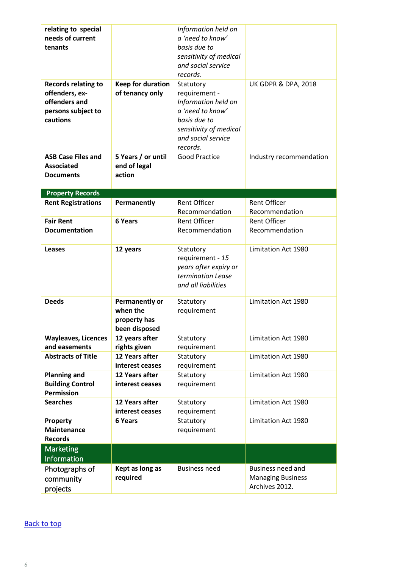| relating to special<br>needs of current<br>tenants<br><b>Records relating to</b><br>offenders, ex-<br>offenders and<br>persons subject to<br>cautions | <b>Keep for duration</b><br>of tenancy only                        | Information held on<br>a 'need to know'<br>basis due to<br>sensitivity of medical<br>and social service<br>records.<br>Statutory<br>requirement -<br>Information held on<br>a 'need to know'<br>basis due to<br>sensitivity of medical<br>and social service | <b>UK GDPR &amp; DPA, 2018</b>                                         |
|-------------------------------------------------------------------------------------------------------------------------------------------------------|--------------------------------------------------------------------|--------------------------------------------------------------------------------------------------------------------------------------------------------------------------------------------------------------------------------------------------------------|------------------------------------------------------------------------|
|                                                                                                                                                       |                                                                    | records.                                                                                                                                                                                                                                                     |                                                                        |
| <b>ASB Case Files and</b><br><b>Associated</b><br><b>Documents</b>                                                                                    | 5 Years / or until<br>end of legal<br>action                       | <b>Good Practice</b>                                                                                                                                                                                                                                         | Industry recommendation                                                |
| <b>Property Records</b>                                                                                                                               |                                                                    |                                                                                                                                                                                                                                                              |                                                                        |
| <b>Rent Registrations</b>                                                                                                                             | Permanently                                                        | <b>Rent Officer</b><br>Recommendation                                                                                                                                                                                                                        | <b>Rent Officer</b><br>Recommendation                                  |
| <b>Fair Rent</b><br><b>Documentation</b>                                                                                                              | 6 Years                                                            | <b>Rent Officer</b><br>Recommendation                                                                                                                                                                                                                        | <b>Rent Officer</b><br>Recommendation                                  |
|                                                                                                                                                       |                                                                    |                                                                                                                                                                                                                                                              |                                                                        |
| <b>Leases</b>                                                                                                                                         | 12 years                                                           | Statutory<br>requirement - 15<br>years after expiry or<br>termination Lease<br>and all liabilities                                                                                                                                                           | Limitation Act 1980                                                    |
| <b>Deeds</b>                                                                                                                                          | <b>Permanently or</b><br>when the<br>property has<br>been disposed | Statutory<br>requirement                                                                                                                                                                                                                                     | Limitation Act 1980                                                    |
| <b>Wayleaves, Licences</b><br>and easements                                                                                                           | 12 years after<br>rights given                                     | Statutory<br>requirement                                                                                                                                                                                                                                     | Limitation Act 1980                                                    |
| <b>Abstracts of Title</b>                                                                                                                             | 12 Years after<br>interest ceases                                  | Statutory<br>requirement                                                                                                                                                                                                                                     | Limitation Act 1980                                                    |
| <b>Planning and</b><br><b>Building Control</b><br><b>Permission</b>                                                                                   | 12 Years after<br>interest ceases                                  | Statutory<br>requirement                                                                                                                                                                                                                                     | Limitation Act 1980                                                    |
| <b>Searches</b>                                                                                                                                       | 12 Years after<br>interest ceases                                  | Statutory<br>requirement                                                                                                                                                                                                                                     | <b>Limitation Act 1980</b>                                             |
| Property<br><b>Maintenance</b><br><b>Records</b>                                                                                                      | <b>6 Years</b>                                                     | Statutory<br>requirement                                                                                                                                                                                                                                     | Limitation Act 1980                                                    |
| <b>Marketing</b>                                                                                                                                      |                                                                    |                                                                                                                                                                                                                                                              |                                                                        |
| Information<br>Photographs of<br>community<br>projects                                                                                                | Kept as long as<br>required                                        | <b>Business need</b>                                                                                                                                                                                                                                         | <b>Business need and</b><br><b>Managing Business</b><br>Archives 2012. |

# [Back to top](#page-0-1)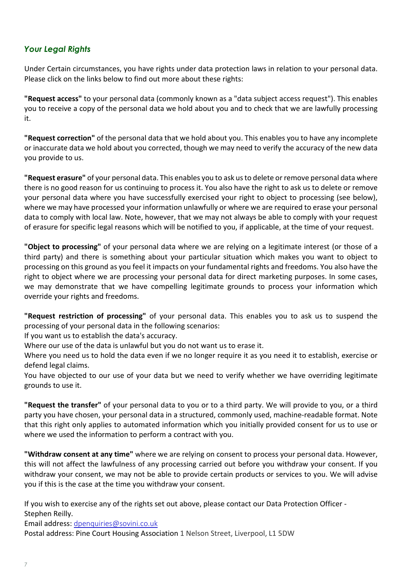# <span id="page-6-0"></span>*Your Legal Rights*

Under Certain circumstances, you have rights under data protection laws in relation to your personal data. Please click on the links below to find out more about these rights:

**"Request access"** to your personal data (commonly known as a "data subject access request"). This enables you to receive a copy of the personal data we hold about you and to check that we are lawfully processing it.

**"Request correction"** of the personal data that we hold about you. This enables you to have any incomplete or inaccurate data we hold about you corrected, though we may need to verify the accuracy of the new data you provide to us.

**"Request erasure"** of your personal data. This enables you to ask us to delete or remove personal data where there is no good reason for us continuing to process it. You also have the right to ask us to delete or remove your personal data where you have successfully exercised your right to object to processing (see below), where we may have processed your information unlawfully or where we are required to erase your personal data to comply with local law. Note, however, that we may not always be able to comply with your request of erasure for specific legal reasons which will be notified to you, if applicable, at the time of your request.

**"Object to processing"** of your personal data where we are relying on a legitimate interest (or those of a third party) and there is something about your particular situation which makes you want to object to processing on this ground as you feel it impacts on your fundamental rights and freedoms. You also have the right to object where we are processing your personal data for direct marketing purposes. In some cases, we may demonstrate that we have compelling legitimate grounds to process your information which override your rights and freedoms.

**"Request restriction of processing"** of your personal data. This enables you to ask us to suspend the processing of your personal data in the following scenarios:

If you want us to establish the data's accuracy.

Where our use of the data is unlawful but you do not want us to erase it.

Where you need us to hold the data even if we no longer require it as you need it to establish, exercise or defend legal claims.

You have objected to our use of your data but we need to verify whether we have overriding legitimate grounds to use it.

**"Request the transfer"** of your personal data to you or to a third party. We will provide to you, or a third party you have chosen, your personal data in a structured, commonly used, machine-readable format. Note that this right only applies to automated information which you initially provided consent for us to use or where we used the information to perform a contract with you.

**"Withdraw consent at any time"** where we are relying on consent to process your personal data. However, this will not affect the lawfulness of any processing carried out before you withdraw your consent. If you withdraw your consent, we may not be able to provide certain products or services to you. We will advise you if this is the case at the time you withdraw your consent.

If you wish to exercise any of the rights set out above, please contact our Data Protection Officer - Stephen Reilly.

Email address: [dpenquiries@sovini.co.uk](mailto:dpenquiries@sovini.co.uk)

Postal address: Pine Court Housing Association 1 Nelson Street, Liverpool, L1 5DW